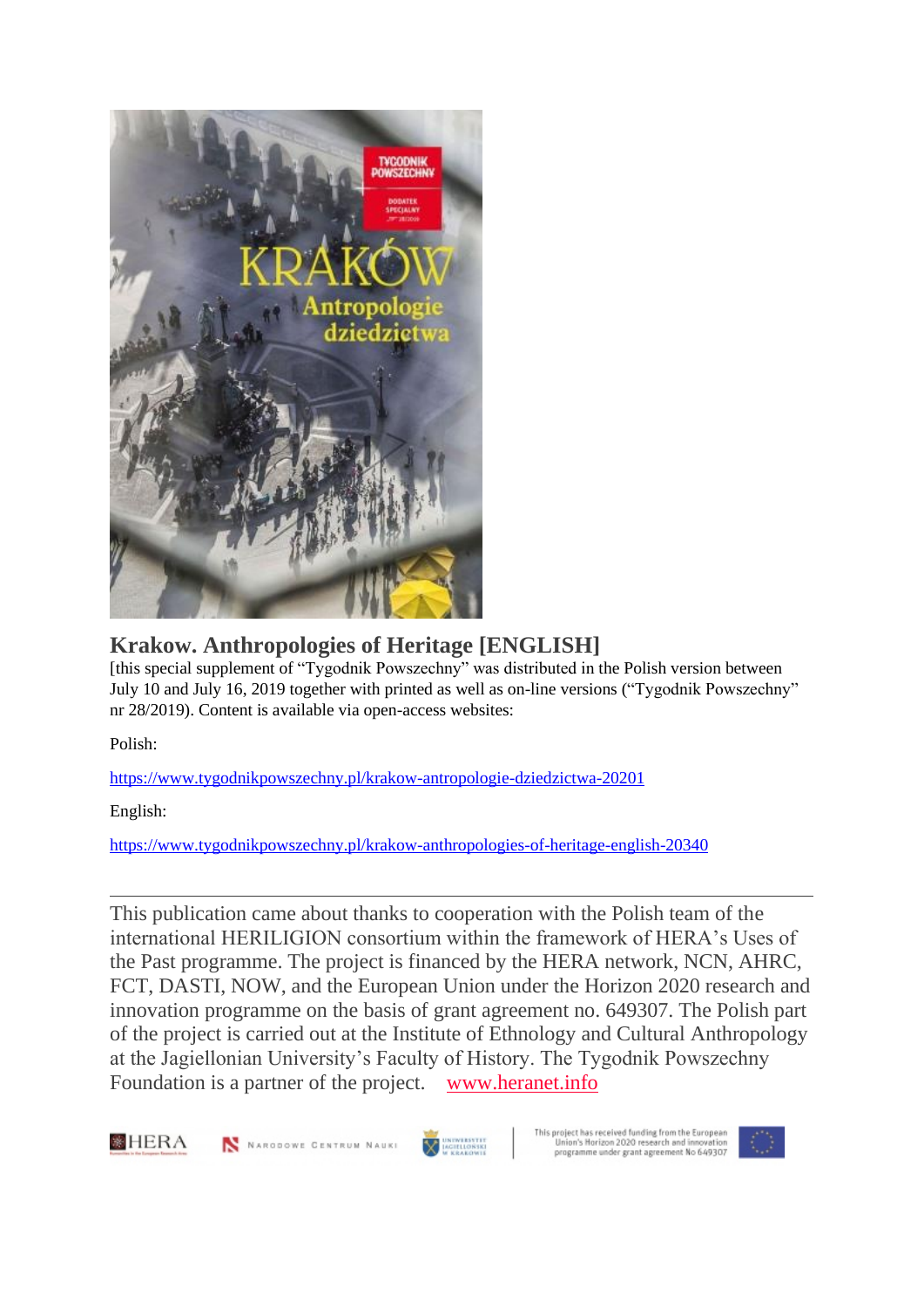

## **Krakow. Anthropologies of Heritage [ENGLISH]**

[this special supplement of "Tygodnik Powszechny" was distributed in the Polish version between July 10 and July 16, 2019 together with printed as well as on-line versions ("Tygodnik Powszechny" nr 28/2019). Content is available via open-access websites:

Polish:

<https://www.tygodnikpowszechny.pl/krakow-antropologie-dziedzictwa-20201>

English:

<https://www.tygodnikpowszechny.pl/krakow-anthropologies-of-heritage-english-20340>

This publication came about thanks to cooperation with the Polish team of the international HERILIGION consortium within the framework of HERA's Uses of the Past programme. The project is financed by the HERA network, NCN, AHRC, FCT, DASTI, NOW, and the European Union under the Horizon 2020 research and innovation programme on the basis of grant agreement no. 649307. The Polish part of the project is carried out at the Institute of Ethnology and Cultural Anthropology at the Jagiellonian University's Faculty of History. The Tygodnik Powszechny Foundation is a partner of the project. [www.heranet.info](http://www.heranet.info/)





N NARODOWE CENTRUM NAUKI

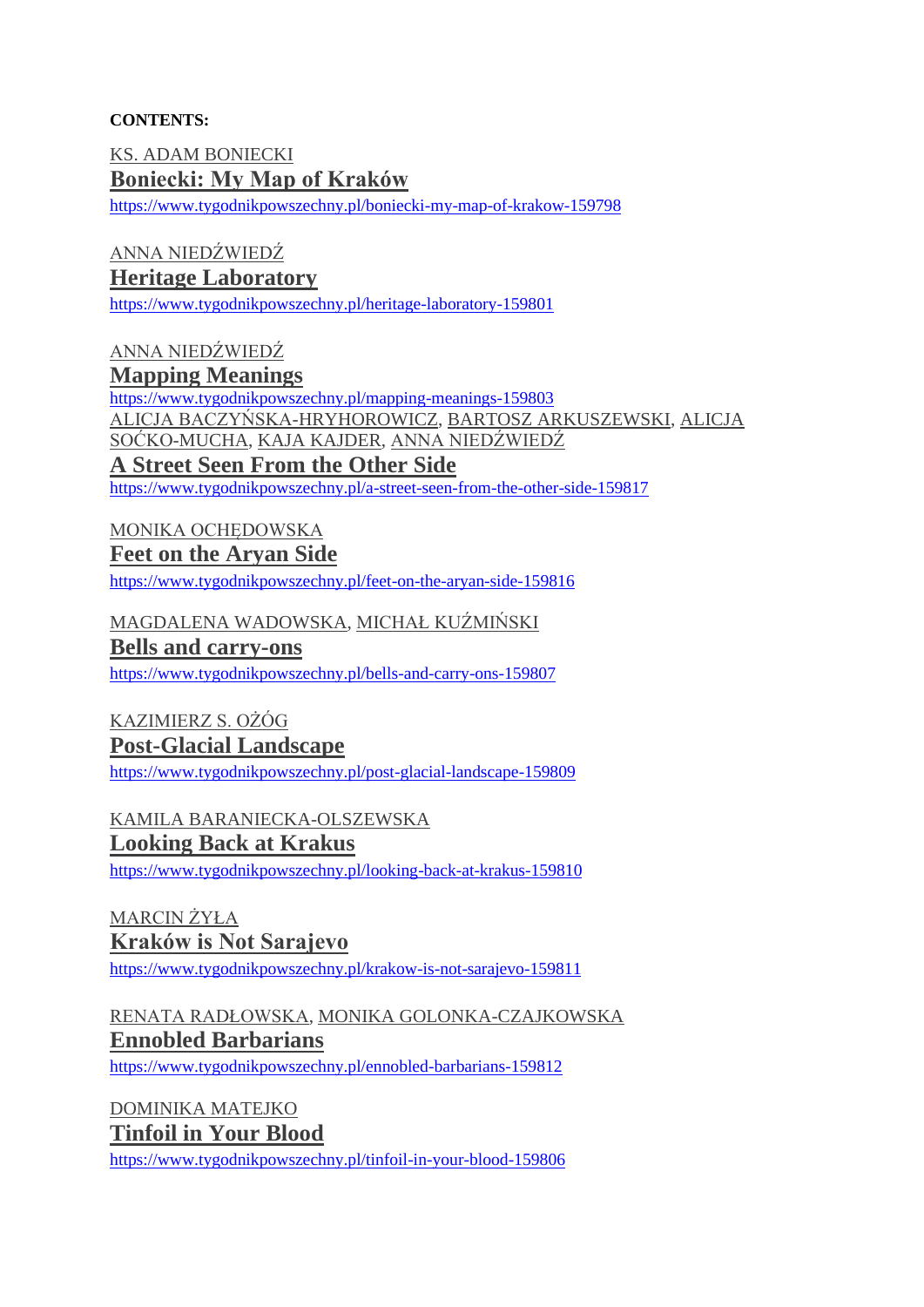#### **CONTENTS:**

[KS. ADAM BONIECKI](https://www.tygodnikpowszechny.pl/autor/ks-adam-boniecki-52) **[Boniecki: My Map of Kraków](https://www.tygodnikpowszechny.pl/boniecki-my-map-of-krakow-159798)**

<https://www.tygodnikpowszechny.pl/boniecki-my-map-of-krakow-159798>

## [ANNA NIEDŹWIEDŹ](https://www.tygodnikpowszechny.pl/autor/anna-niedzwiedz-1163)

### **[Heritage Laboratory](https://www.tygodnikpowszechny.pl/heritage-laboratory-159801)**

<https://www.tygodnikpowszechny.pl/heritage-laboratory-159801>

[ANNA NIEDŹWIEDŹ](https://www.tygodnikpowszechny.pl/autor/anna-niedzwiedz-1163) **[Mapping Meanings](https://www.tygodnikpowszechny.pl/mapping-meanings-159803)** <https://www.tygodnikpowszechny.pl/mapping-meanings-159803> [ALICJA BACZYŃSKA-HRYHOROWICZ,](https://www.tygodnikpowszechny.pl/autor/alicja-baczynska-hryhorowicz-20191) [BARTOSZ ARKUSZEWSKI,](https://www.tygodnikpowszechny.pl/autor/bartosz-arkuszewski-20192) [ALICJA](https://www.tygodnikpowszechny.pl/autor/alicja-socko-mucha-20193)  [SOĆKO-MUCHA,](https://www.tygodnikpowszechny.pl/autor/alicja-socko-mucha-20193) [KAJA KAJDER,](https://www.tygodnikpowszechny.pl/autor/kaja-kajder-20194) [ANNA NIEDŹWIEDŹ](https://www.tygodnikpowszechny.pl/autor/anna-niedzwiedz-1163) **[A Street Seen From the Other Side](https://www.tygodnikpowszechny.pl/a-street-seen-from-the-other-side-159817)**

<https://www.tygodnikpowszechny.pl/a-street-seen-from-the-other-side-159817>

# [MONIKA OCHĘDOWSKA](https://www.tygodnikpowszechny.pl/autor/monika-ochedowska-16005)

#### **[Feet on the Aryan Side](https://www.tygodnikpowszechny.pl/feet-on-the-aryan-side-159816)**

<https://www.tygodnikpowszechny.pl/feet-on-the-aryan-side-159816>

#### [MAGDALENA WADOWSKA,](https://www.tygodnikpowszechny.pl/autor/magdalena-wadowska-20195) [MICHAŁ KUŹMIŃSKI](https://www.tygodnikpowszechny.pl/autor/michal-kuzminski-109)

#### **[Bells and carry-ons](https://www.tygodnikpowszechny.pl/bells-and-carry-ons-159807)**

<https://www.tygodnikpowszechny.pl/bells-and-carry-ons-159807>

### [KAZIMIERZ S. OŻÓG](https://www.tygodnikpowszechny.pl/autor/kazimierz-s-ozog-20196) **[Post-Glacial Landscape](https://www.tygodnikpowszechny.pl/post-glacial-landscape-159809)**

<https://www.tygodnikpowszechny.pl/post-glacial-landscape-159809>

### [KAMILA BARANIECKA-OLSZEWSKA](https://www.tygodnikpowszechny.pl/autor/kamila-baraniecka-olszewska-20197)

#### **[Looking Back at Krakus](https://www.tygodnikpowszechny.pl/looking-back-at-krakus-159810)**

<https://www.tygodnikpowszechny.pl/looking-back-at-krakus-159810>

[MARCIN ŻYŁA](https://www.tygodnikpowszechny.pl/autor/marcin-zyla-59) **[Kraków is Not Sarajevo](https://www.tygodnikpowszechny.pl/krakow-is-not-sarajevo-159811)** <https://www.tygodnikpowszechny.pl/krakow-is-not-sarajevo-159811>

## [RENATA RADŁOWSKA,](https://www.tygodnikpowszechny.pl/autor/renata-radlowska-20199) [MONIKA GOLONKA-CZAJKOWSKA](https://www.tygodnikpowszechny.pl/autor/monika-golonka-czajkowska-20198) **[Ennobled Barbarians](https://www.tygodnikpowszechny.pl/ennobled-barbarians-159812)**

<https://www.tygodnikpowszechny.pl/ennobled-barbarians-159812>

[DOMINIKA MATEJKO](https://www.tygodnikpowszechny.pl/autor/dominika-matejko-14096) **[Tinfoil in Your Blood](https://www.tygodnikpowszechny.pl/tinfoil-in-your-blood-159806)**

<https://www.tygodnikpowszechny.pl/tinfoil-in-your-blood-159806>